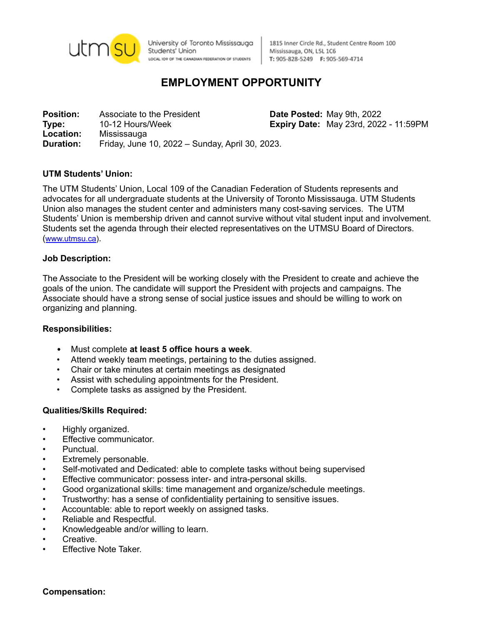

University of Toronto Mississauga Students' Union LOCAL IO9 OF THE CANADIAN FEDERATION OF STUDENTS

1815 Inner Circle Rd., Student Centre Room 100 Mississauga, ON, L5L 1C6 T: 905-828-5249 F: 905-569-4714

# **EMPLOYMENT OPPORTUNITY**

**Position:** Associate to the President **Date Posted:** May 9th, 2022 **Type:** 10-12 Hours/Week **Expiry Date:** May 23rd, 2022 - 11:59PM **Location:** Mississauga **Duration:** Friday, June 10, 2022 – Sunday, April 30, 2023.

## **UTM Students' Union:**

The UTM Students' Union, Local 109 of the Canadian Federation of Students represents and advocates for all undergraduate students at the University of Toronto Mississauga. UTM Students Union also manages the student center and administers many cost-saving services. The UTM Students' Union is membership driven and cannot survive without vital student input and involvement. Students set the agenda through their elected representatives on the UTMSU Board of Directors. ([www.utmsu.ca](http://www.utmsu.ca)).

#### **Job Description:**

The Associate to the President will be working closely with the President to create and achieve the goals of the union. The candidate will support the President with projects and campaigns. The Associate should have a strong sense of social justice issues and should be willing to work on organizing and planning.

#### **Responsibilities:**

- Must complete **at least 5 office hours a week**.
- Attend weekly team meetings, pertaining to the duties assigned.
- Chair or take minutes at certain meetings as designated
- Assist with scheduling appointments for the President.
- Complete tasks as assigned by the President.

#### **Qualities/Skills Required:**

- Highly organized.
- Effective communicator.
- Punctual.
- Extremely personable.
- Self-motivated and Dedicated: able to complete tasks without being supervised
- Effective communicator: possess inter- and intra-personal skills.
- Good organizational skills: time management and organize/schedule meetings.
- Trustworthy: has a sense of confidentiality pertaining to sensitive issues.
- Accountable: able to report weekly on assigned tasks.
- Reliable and Respectful.
- Knowledgeable and/or willing to learn.
- Creative.
- Effective Note Taker.

**Compensation:**